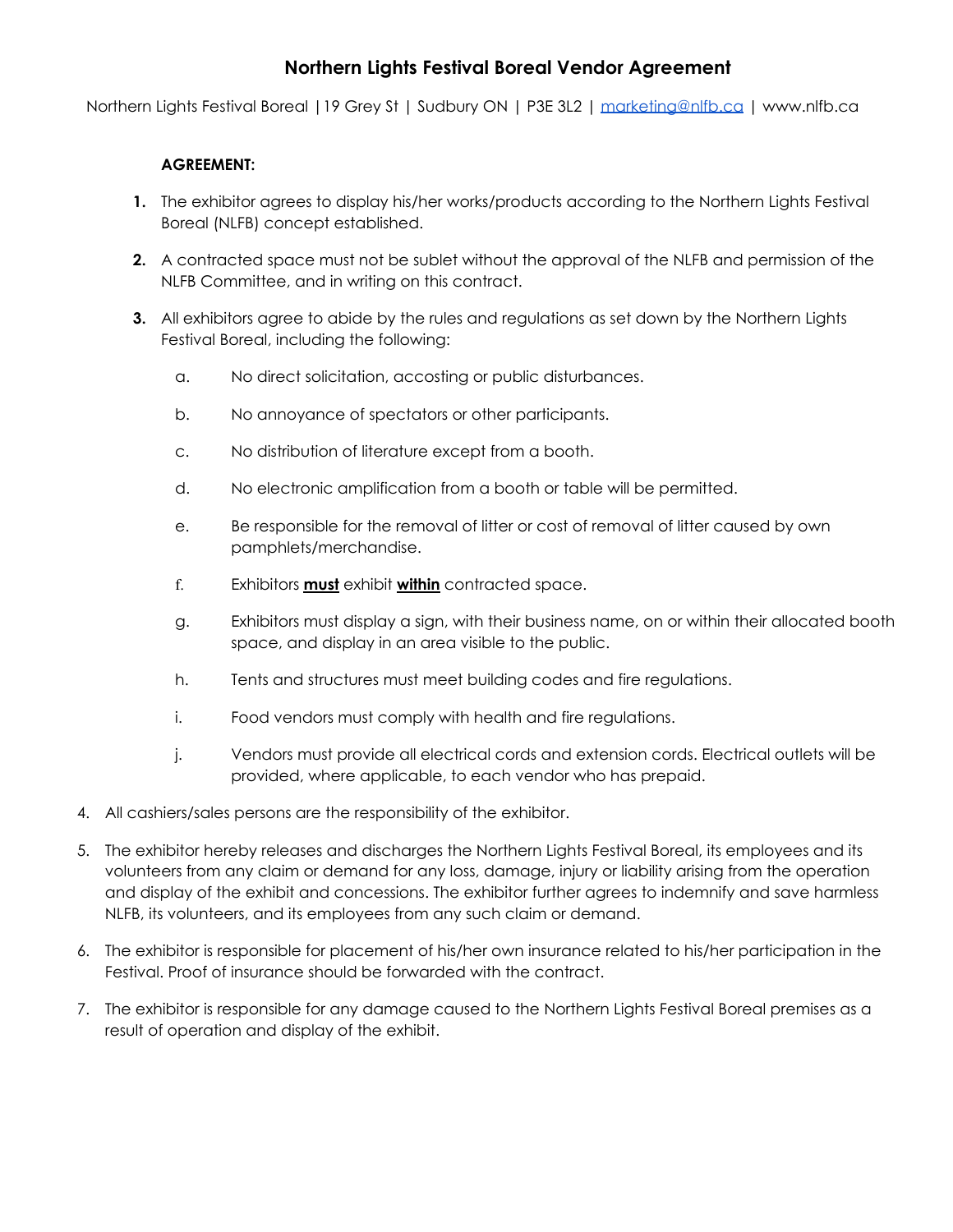# **Northern Lights Festival Boreal Vendor Agreement**

Northern Lights Festival Boreal | 19 Grey St | Sudbury ON | P3E 3L2 | [marketing@nlfb.ca](mailto:marketing@nlfb.ca) | www.nlfb.ca

## **AGREEMENT:**

- **1.** The exhibitor agrees to display his/her works/products according to the Northern Lights Festival Boreal (NLFB) concept established.
- **2.** A contracted space must not be sublet without the approval of the NLFB and permission of the NLFB Committee, and in writing on this contract.
- **3.** All exhibitors agree to abide by the rules and regulations as set down by the Northern Lights Festival Boreal, including the following:
	- a. No direct solicitation, accosting or public disturbances.
	- b. No annoyance of spectators or other participants.
	- c. No distribution of literature except from a booth.
	- d. No electronic amplification from a booth or table will be permitted.
	- e. Be responsible for the removal of litter or cost of removal of litter caused by own pamphlets/merchandise.
	- f. Exhibitors **must** exhibit **within** contracted space.
	- g. Exhibitors must display a sign, with their business name, on or within their allocated booth space, and display in an area visible to the public.
	- h. Tents and structures must meet building codes and fire regulations.
	- i. Food vendors must comply with health and fire regulations.
	- j. Vendors must provide all electrical cords and extension cords. Electrical outlets will be provided, where applicable, to each vendor who has prepaid.
- 4. All cashiers/sales persons are the responsibility of the exhibitor.
- 5. The exhibitor hereby releases and discharges the Northern Lights Festival Boreal, its employees and its volunteers from any claim or demand for any loss, damage, injury or liability arising from the operation and display of the exhibit and concessions. The exhibitor further agrees to indemnify and save harmless NLFB, its volunteers, and its employees from any such claim or demand.
- 6. The exhibitor is responsible for placement of his/her own insurance related to his/her participation in the Festival. Proof of insurance should be forwarded with the contract.
- 7. The exhibitor is responsible for any damage caused to the Northern Lights Festival Boreal premises as a result of operation and display of the exhibit.